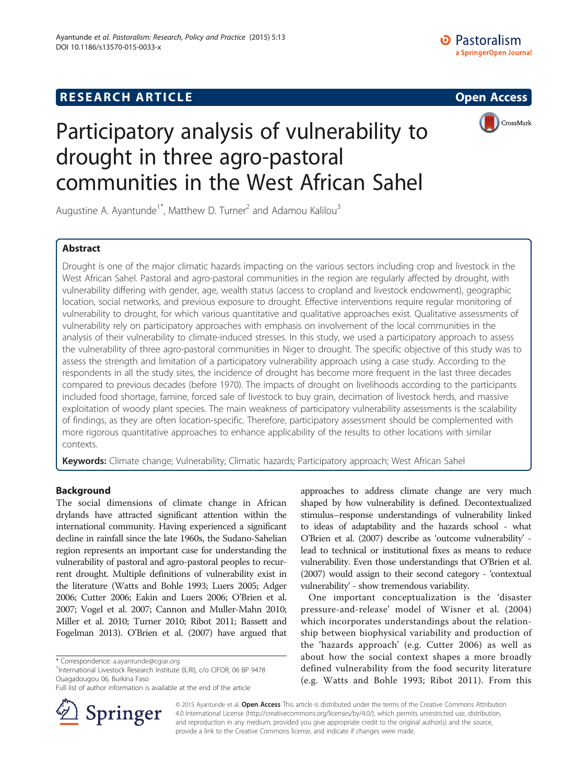## **RESEARCH ARTICLE Example 2014 CONSIDERING CONSIDERING CONSIDERING CONSIDERING CONSIDERING CONSIDERING CONSIDERING CONSIDERING CONSIDERING CONSIDERING CONSIDERING CONSIDERING CONSIDERING CONSIDERING CONSIDERING CONSIDE**





# Participatory analysis of vulnerability to drought in three agro-pastoral communities in the West African Sahel

Augustine A. Ayantunde<sup>1\*</sup>, Matthew D. Turner<sup>2</sup> and Adamou Kalilou<sup>3</sup>

## Abstract

Drought is one of the major climatic hazards impacting on the various sectors including crop and livestock in the West African Sahel. Pastoral and agro-pastoral communities in the region are regularly affected by drought, with vulnerability differing with gender, age, wealth status (access to cropland and livestock endowment), geographic location, social networks, and previous exposure to drought. Effective interventions require regular monitoring of vulnerability to drought, for which various quantitative and qualitative approaches exist. Qualitative assessments of vulnerability rely on participatory approaches with emphasis on involvement of the local communities in the analysis of their vulnerability to climate-induced stresses. In this study, we used a participatory approach to assess the vulnerability of three agro-pastoral communities in Niger to drought. The specific objective of this study was to assess the strength and limitation of a participatory vulnerability approach using a case study. According to the respondents in all the study sites, the incidence of drought has become more frequent in the last three decades compared to previous decades (before 1970). The impacts of drought on livelihoods according to the participants included food shortage, famine, forced sale of livestock to buy grain, decimation of livestock herds, and massive exploitation of woody plant species. The main weakness of participatory vulnerability assessments is the scalability of findings, as they are often location-specific. Therefore, participatory assessment should be complemented with more rigorous quantitative approaches to enhance applicability of the results to other locations with similar contexts.

Keywords: Climate change; Vulnerability; Climatic hazards; Participatory approach; West African Sahel

## Background

The social dimensions of climate change in African drylands have attracted significant attention within the international community. Having experienced a significant decline in rainfall since the late 1960s, the Sudano-Sahelian region represents an important case for understanding the vulnerability of pastoral and agro-pastoral peoples to recurrent drought. Multiple definitions of vulnerability exist in the literature (Watts and Bohle [1993;](#page-10-0) Luers [2005](#page-10-0); Adger [2006;](#page-9-0) Cutter [2006;](#page-10-0) Eakin and Luers [2006;](#page-10-0) O'Brien et al. [2007;](#page-10-0) Vogel et al. [2007;](#page-10-0) Cannon and Muller-Mahn [2010](#page-10-0); Miller et al. [2010;](#page-10-0) Turner [2010](#page-10-0); Ribot [2011](#page-10-0); Bassett and Fogelman [2013](#page-9-0)). O'Brien et al. [\(2007](#page-10-0)) have argued that

<sup>1</sup>International Livestock Research Institute (ILRI), c/o CIFOR, 06 BP 9478 Ouagadougou 06, Burkina Faso



One important conceptualization is the 'disaster pressure-and-release' model of Wisner et al. ([2004](#page-10-0)) which incorporates understandings about the relationship between biophysical variability and production of the 'hazards approach' (e.g. Cutter [2006](#page-10-0)) as well as about how the social context shapes a more broadly defined vulnerability from the food security literature (e.g. Watts and Bohle [1993](#page-10-0); Ribot [2011](#page-10-0)). From this



© 2015 Ayantunde et al. Open Access This article is distributed under the terms of the Creative Commons Attribution 4.0 International License (<http://creativecommons.org/licenses/by/4.0/>), which permits unrestricted use, distribution, and reproduction in any medium, provided you give appropriate credit to the original author(s) and the source, provide a link to the Creative Commons license, and indicate if changes were made.

<sup>\*</sup> Correspondence: [a.ayantunde@cgiar.org](mailto:a.ayantunde@cgiar.org) <sup>1</sup>

Full list of author information is available at the end of the article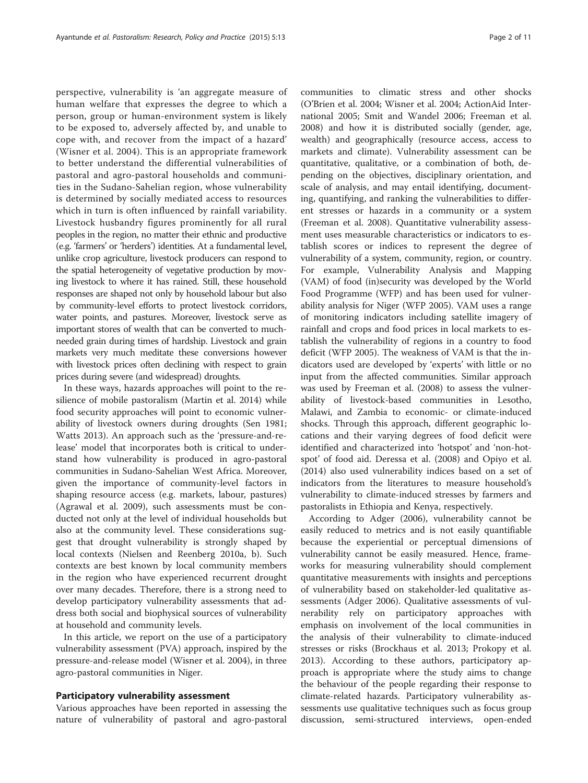perspective, vulnerability is 'an aggregate measure of human welfare that expresses the degree to which a person, group or human-environment system is likely to be exposed to, adversely affected by, and unable to cope with, and recover from the impact of a hazard' (Wisner et al. [2004\)](#page-10-0). This is an appropriate framework to better understand the differential vulnerabilities of pastoral and agro-pastoral households and communities in the Sudano-Sahelian region, whose vulnerability is determined by socially mediated access to resources which in turn is often influenced by rainfall variability. Livestock husbandry figures prominently for all rural peoples in the region, no matter their ethnic and productive (e.g. 'farmers' or 'herders') identities. At a fundamental level, unlike crop agriculture, livestock producers can respond to the spatial heterogeneity of vegetative production by moving livestock to where it has rained. Still, these household responses are shaped not only by household labour but also by community-level efforts to protect livestock corridors, water points, and pastures. Moreover, livestock serve as important stores of wealth that can be converted to muchneeded grain during times of hardship. Livestock and grain markets very much meditate these conversions however with livestock prices often declining with respect to grain prices during severe (and widespread) droughts.

In these ways, hazards approaches will point to the resilience of mobile pastoralism (Martin et al. [2014](#page-10-0)) while food security approaches will point to economic vulnerability of livestock owners during droughts (Sen [1981](#page-10-0); Watts [2013](#page-10-0)). An approach such as the 'pressure-and-release' model that incorporates both is critical to understand how vulnerability is produced in agro-pastoral communities in Sudano-Sahelian West Africa. Moreover, given the importance of community-level factors in shaping resource access (e.g. markets, labour, pastures) (Agrawal et al. [2009](#page-9-0)), such assessments must be conducted not only at the level of individual households but also at the community level. These considerations suggest that drought vulnerability is strongly shaped by local contexts (Nielsen and Reenberg [2010a](#page-10-0), [b\)](#page-10-0). Such contexts are best known by local community members in the region who have experienced recurrent drought over many decades. Therefore, there is a strong need to develop participatory vulnerability assessments that address both social and biophysical sources of vulnerability at household and community levels.

In this article, we report on the use of a participatory vulnerability assessment (PVA) approach, inspired by the pressure-and-release model (Wisner et al. [2004](#page-10-0)), in three agro-pastoral communities in Niger.

#### Participatory vulnerability assessment

Various approaches have been reported in assessing the nature of vulnerability of pastoral and agro-pastoral

communities to climatic stress and other shocks (O'Brien et al. [2004;](#page-10-0) Wisner et al. [2004;](#page-10-0) ActionAid International [2005](#page-9-0); Smit and Wandel [2006](#page-10-0); Freeman et al. [2008](#page-10-0)) and how it is distributed socially (gender, age, wealth) and geographically (resource access, access to markets and climate). Vulnerability assessment can be quantitative, qualitative, or a combination of both, depending on the objectives, disciplinary orientation, and scale of analysis, and may entail identifying, documenting, quantifying, and ranking the vulnerabilities to different stresses or hazards in a community or a system (Freeman et al. [2008\)](#page-10-0). Quantitative vulnerability assessment uses measurable characteristics or indicators to establish scores or indices to represent the degree of vulnerability of a system, community, region, or country. For example, Vulnerability Analysis and Mapping (VAM) of food (in)security was developed by the World Food Programme (WFP) and has been used for vulnerability analysis for Niger (WFP [2005](#page-10-0)). VAM uses a range of monitoring indicators including satellite imagery of rainfall and crops and food prices in local markets to establish the vulnerability of regions in a country to food deficit (WFP [2005\)](#page-10-0). The weakness of VAM is that the indicators used are developed by 'experts' with little or no input from the affected communities. Similar approach was used by Freeman et al. [\(2008\)](#page-10-0) to assess the vulnerability of livestock-based communities in Lesotho, Malawi, and Zambia to economic- or climate-induced shocks. Through this approach, different geographic locations and their varying degrees of food deficit were identified and characterized into 'hotspot' and 'non-hotspot' of food aid. Deressa et al. [\(2008](#page-10-0)) and Opiyo et al. ([2014\)](#page-10-0) also used vulnerability indices based on a set of indicators from the literatures to measure household's vulnerability to climate-induced stresses by farmers and pastoralists in Ethiopia and Kenya, respectively.

According to Adger ([2006](#page-9-0)), vulnerability cannot be easily reduced to metrics and is not easily quantifiable because the experiential or perceptual dimensions of vulnerability cannot be easily measured. Hence, frameworks for measuring vulnerability should complement quantitative measurements with insights and perceptions of vulnerability based on stakeholder-led qualitative assessments (Adger [2006\)](#page-9-0). Qualitative assessments of vulnerability rely on participatory approaches with emphasis on involvement of the local communities in the analysis of their vulnerability to climate-induced stresses or risks (Brockhaus et al. [2013](#page-10-0); Prokopy et al. [2013](#page-10-0)). According to these authors, participatory approach is appropriate where the study aims to change the behaviour of the people regarding their response to climate-related hazards. Participatory vulnerability assessments use qualitative techniques such as focus group discussion, semi-structured interviews, open-ended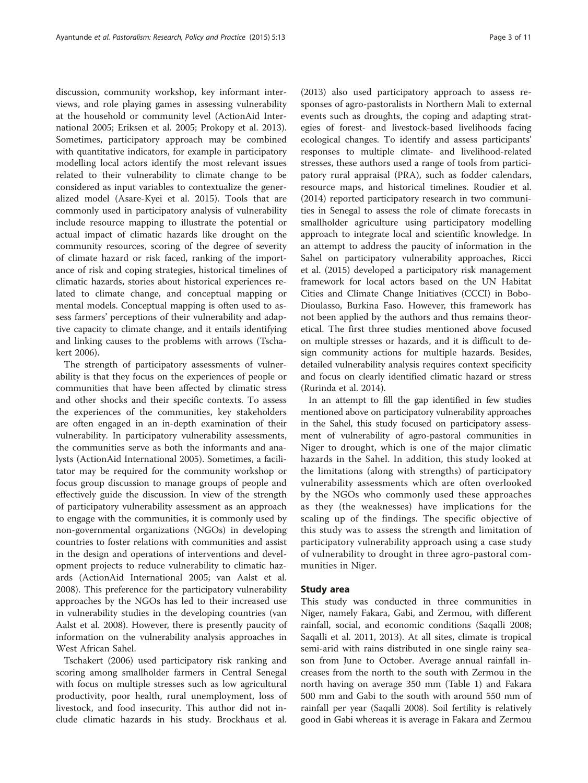discussion, community workshop, key informant interviews, and role playing games in assessing vulnerability at the household or community level (ActionAid International [2005](#page-9-0); Eriksen et al. [2005](#page-10-0); Prokopy et al. [2013](#page-10-0)). Sometimes, participatory approach may be combined with quantitative indicators, for example in participatory modelling local actors identify the most relevant issues related to their vulnerability to climate change to be considered as input variables to contextualize the generalized model (Asare-Kyei et al. [2015](#page-9-0)). Tools that are commonly used in participatory analysis of vulnerability include resource mapping to illustrate the potential or actual impact of climatic hazards like drought on the community resources, scoring of the degree of severity of climate hazard or risk faced, ranking of the importance of risk and coping strategies, historical timelines of climatic hazards, stories about historical experiences related to climate change, and conceptual mapping or mental models. Conceptual mapping is often used to assess farmers' perceptions of their vulnerability and adaptive capacity to climate change, and it entails identifying and linking causes to the problems with arrows (Tschakert [2006](#page-10-0)).

The strength of participatory assessments of vulnerability is that they focus on the experiences of people or communities that have been affected by climatic stress and other shocks and their specific contexts. To assess the experiences of the communities, key stakeholders are often engaged in an in-depth examination of their vulnerability. In participatory vulnerability assessments, the communities serve as both the informants and analysts (ActionAid International [2005\)](#page-9-0). Sometimes, a facilitator may be required for the community workshop or focus group discussion to manage groups of people and effectively guide the discussion. In view of the strength of participatory vulnerability assessment as an approach to engage with the communities, it is commonly used by non-governmental organizations (NGOs) in developing countries to foster relations with communities and assist in the design and operations of interventions and development projects to reduce vulnerability to climatic hazards (ActionAid International [2005;](#page-9-0) van Aalst et al. [2008](#page-10-0)). This preference for the participatory vulnerability approaches by the NGOs has led to their increased use in vulnerability studies in the developing countries (van Aalst et al. [2008](#page-10-0)). However, there is presently paucity of information on the vulnerability analysis approaches in West African Sahel.

Tschakert [\(2006\)](#page-10-0) used participatory risk ranking and scoring among smallholder farmers in Central Senegal with focus on multiple stresses such as low agricultural productivity, poor health, rural unemployment, loss of livestock, and food insecurity. This author did not include climatic hazards in his study. Brockhaus et al. ([2013\)](#page-10-0) also used participatory approach to assess responses of agro-pastoralists in Northern Mali to external events such as droughts, the coping and adapting strategies of forest- and livestock-based livelihoods facing ecological changes. To identify and assess participants' responses to multiple climate- and livelihood-related stresses, these authors used a range of tools from participatory rural appraisal (PRA), such as fodder calendars, resource maps, and historical timelines. Roudier et al. ([2014\)](#page-10-0) reported participatory research in two communities in Senegal to assess the role of climate forecasts in smallholder agriculture using participatory modelling approach to integrate local and scientific knowledge. In an attempt to address the paucity of information in the Sahel on participatory vulnerability approaches, Ricci et al. [\(2015\)](#page-10-0) developed a participatory risk management framework for local actors based on the UN Habitat Cities and Climate Change Initiatives (CCCI) in Bobo-Dioulasso, Burkina Faso. However, this framework has not been applied by the authors and thus remains theoretical. The first three studies mentioned above focused on multiple stresses or hazards, and it is difficult to design community actions for multiple hazards. Besides, detailed vulnerability analysis requires context specificity and focus on clearly identified climatic hazard or stress (Rurinda et al. [2014\)](#page-10-0).

In an attempt to fill the gap identified in few studies mentioned above on participatory vulnerability approaches in the Sahel, this study focused on participatory assessment of vulnerability of agro-pastoral communities in Niger to drought, which is one of the major climatic hazards in the Sahel. In addition, this study looked at the limitations (along with strengths) of participatory vulnerability assessments which are often overlooked by the NGOs who commonly used these approaches as they (the weaknesses) have implications for the scaling up of the findings. The specific objective of this study was to assess the strength and limitation of participatory vulnerability approach using a case study of vulnerability to drought in three agro-pastoral communities in Niger.

#### Study area

This study was conducted in three communities in Niger, namely Fakara, Gabi, and Zermou, with different rainfall, social, and economic conditions (Saqalli [2008](#page-10-0); Saqalli et al. [2011, 2013](#page-10-0)). At all sites, climate is tropical semi-arid with rains distributed in one single rainy season from June to October. Average annual rainfall increases from the north to the south with Zermou in the north having on average 350 mm (Table [1](#page-3-0)) and Fakara 500 mm and Gabi to the south with around 550 mm of rainfall per year (Saqalli [2008](#page-10-0)). Soil fertility is relatively good in Gabi whereas it is average in Fakara and Zermou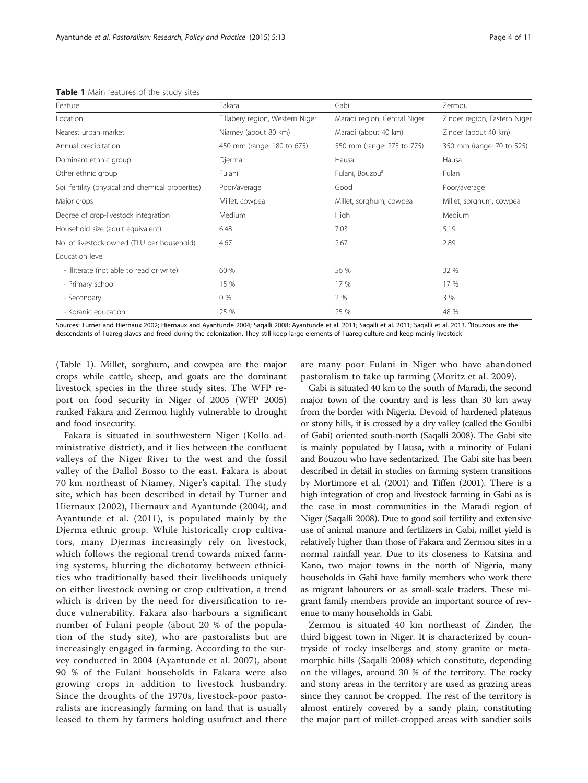| Feature                                           | Fakara                          | Gabi                         | Zermou                       |
|---------------------------------------------------|---------------------------------|------------------------------|------------------------------|
| Location                                          | Tillabery region, Western Niger | Maradi region, Central Niger | Zinder region, Eastern Niger |
| Nearest urban market                              | Niamey (about 80 km)            | Maradi (about 40 km)         | Zinder (about 40 km)         |
| Annual precipitation                              | 450 mm (range: 180 to 675)      | 550 mm (range: 275 to 775)   | 350 mm (range: 70 to 525)    |
| Dominant ethnic group                             | Djerma                          | Hausa                        | Hausa                        |
| Other ethnic group                                | Fulani                          | Fulani, Bouzou <sup>a</sup>  | Fulani                       |
| Soil fertility (physical and chemical properties) | Poor/average                    | Good                         | Poor/average                 |
| Major crops                                       | Millet, cowpea                  | Millet, sorghum, cowpea      | Millet, sorghum, cowpea      |
| Degree of crop-livestock integration              | Medium                          | High                         | Medium                       |
| Household size (adult equivalent)                 | 6.48                            | 7.03                         | 5.19                         |
| No. of livestock owned (TLU per household)        | 4.67                            | 2.67                         | 2.89                         |
| Education level                                   |                                 |                              |                              |
| - Illiterate (not able to read or write)          | 60 %                            | 56 %                         | 32 %                         |
| - Primary school                                  | 15 %                            | 17 %                         | 17 %                         |
| - Secondary                                       | $0\%$                           | 2 %                          | 3 %                          |
| - Koranic education                               | 25 %                            | 25 %                         | 48 %                         |

<span id="page-3-0"></span>Table 1 Main features of the study sites

Sources: Turner and Hiernaux [2002;](#page-10-0) Hiernaux and Ayantunde [2004;](#page-10-0) Saqalli [2008](#page-10-0); Ayantunde et al. [2011;](#page-10-0) Saqalli et al. 2011; Saqalli et al. [2013](#page-10-0). <sup>a</sup>Bouzous are the descendants of Tuareg slaves and freed during the colonization. They still keep large elements of Tuareg culture and keep mainly livestock

(Table 1). Millet, sorghum, and cowpea are the major crops while cattle, sheep, and goats are the dominant livestock species in the three study sites. The WFP report on food security in Niger of 2005 (WFP [2005](#page-10-0)) ranked Fakara and Zermou highly vulnerable to drought and food insecurity.

Fakara is situated in southwestern Niger (Kollo administrative district), and it lies between the confluent valleys of the Niger River to the west and the fossil valley of the Dallol Bosso to the east. Fakara is about 70 km northeast of Niamey, Niger's capital. The study site, which has been described in detail by Turner and Hiernaux ([2002](#page-10-0)), Hiernaux and Ayantunde ([2004](#page-10-0)), and Ayantunde et al. ([2011](#page-9-0)), is populated mainly by the Djerma ethnic group. While historically crop cultivators, many Djermas increasingly rely on livestock, which follows the regional trend towards mixed farming systems, blurring the dichotomy between ethnicities who traditionally based their livelihoods uniquely on either livestock owning or crop cultivation, a trend which is driven by the need for diversification to reduce vulnerability. Fakara also harbours a significant number of Fulani people (about 20 % of the population of the study site), who are pastoralists but are increasingly engaged in farming. According to the survey conducted in 2004 (Ayantunde et al. [2007](#page-9-0)), about 90 % of the Fulani households in Fakara were also growing crops in addition to livestock husbandry. Since the droughts of the 1970s, livestock-poor pastoralists are increasingly farming on land that is usually leased to them by farmers holding usufruct and there

are many poor Fulani in Niger who have abandoned pastoralism to take up farming (Moritz et al. [2009](#page-10-0)).

Gabi is situated 40 km to the south of Maradi, the second major town of the country and is less than 30 km away from the border with Nigeria. Devoid of hardened plateaus or stony hills, it is crossed by a dry valley (called the Goulbi of Gabi) oriented south-north (Saqalli [2008\)](#page-10-0). The Gabi site is mainly populated by Hausa, with a minority of Fulani and Bouzou who have sedentarized. The Gabi site has been described in detail in studies on farming system transitions by Mortimore et al. ([2001\)](#page-10-0) and Tiffen [\(2001](#page-10-0)). There is a high integration of crop and livestock farming in Gabi as is the case in most communities in the Maradi region of Niger (Saqalli [2008](#page-10-0)). Due to good soil fertility and extensive use of animal manure and fertilizers in Gabi, millet yield is relatively higher than those of Fakara and Zermou sites in a normal rainfall year. Due to its closeness to Katsina and Kano, two major towns in the north of Nigeria, many households in Gabi have family members who work there as migrant labourers or as small-scale traders. These migrant family members provide an important source of revenue to many households in Gabi.

Zermou is situated 40 km northeast of Zinder, the third biggest town in Niger. It is characterized by countryside of rocky inselbergs and stony granite or metamorphic hills (Saqalli [2008\)](#page-10-0) which constitute, depending on the villages, around 30 % of the territory. The rocky and stony areas in the territory are used as grazing areas since they cannot be cropped. The rest of the territory is almost entirely covered by a sandy plain, constituting the major part of millet-cropped areas with sandier soils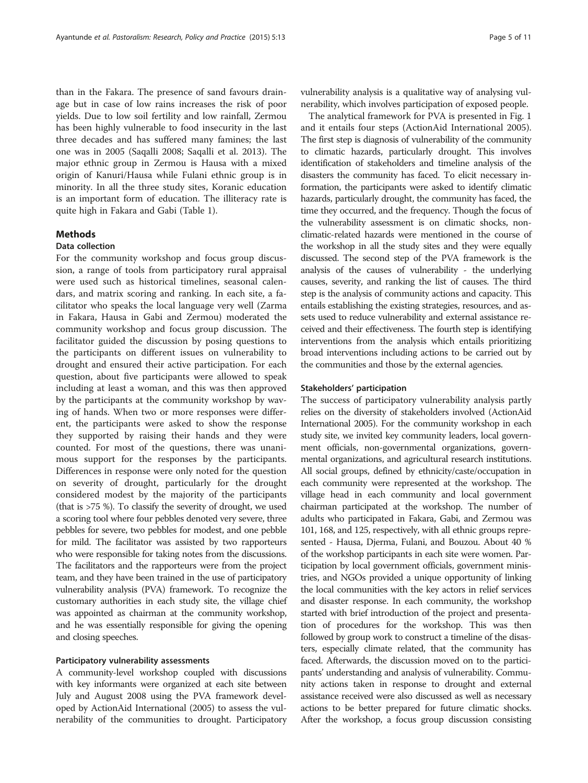than in the Fakara. The presence of sand favours drainage but in case of low rains increases the risk of poor yields. Due to low soil fertility and low rainfall, Zermou has been highly vulnerable to food insecurity in the last three decades and has suffered many famines; the last one was in 2005 (Saqalli [2008;](#page-10-0) Saqalli et al. [2013](#page-10-0)). The major ethnic group in Zermou is Hausa with a mixed origin of Kanuri/Hausa while Fulani ethnic group is in minority. In all the three study sites, Koranic education is an important form of education. The illiteracy rate is quite high in Fakara and Gabi (Table [1](#page-3-0)).

#### Methods

## Data collection

For the community workshop and focus group discussion, a range of tools from participatory rural appraisal were used such as historical timelines, seasonal calendars, and matrix scoring and ranking. In each site, a facilitator who speaks the local language very well (Zarma in Fakara, Hausa in Gabi and Zermou) moderated the community workshop and focus group discussion. The facilitator guided the discussion by posing questions to the participants on different issues on vulnerability to drought and ensured their active participation. For each question, about five participants were allowed to speak including at least a woman, and this was then approved by the participants at the community workshop by waving of hands. When two or more responses were different, the participants were asked to show the response they supported by raising their hands and they were counted. For most of the questions, there was unanimous support for the responses by the participants. Differences in response were only noted for the question on severity of drought, particularly for the drought considered modest by the majority of the participants (that is >75 %). To classify the severity of drought, we used a scoring tool where four pebbles denoted very severe, three pebbles for severe, two pebbles for modest, and one pebble for mild. The facilitator was assisted by two rapporteurs who were responsible for taking notes from the discussions. The facilitators and the rapporteurs were from the project team, and they have been trained in the use of participatory vulnerability analysis (PVA) framework. To recognize the customary authorities in each study site, the village chief was appointed as chairman at the community workshop, and he was essentially responsible for giving the opening and closing speeches.

#### Participatory vulnerability assessments

A community-level workshop coupled with discussions with key informants were organized at each site between July and August 2008 using the PVA framework developed by ActionAid International [\(2005](#page-9-0)) to assess the vulnerability of the communities to drought. Participatory vulnerability analysis is a qualitative way of analysing vulnerability, which involves participation of exposed people.

The analytical framework for PVA is presented in Fig. [1](#page-5-0) and it entails four steps (ActionAid International [2005](#page-9-0)). The first step is diagnosis of vulnerability of the community to climatic hazards, particularly drought. This involves identification of stakeholders and timeline analysis of the disasters the community has faced. To elicit necessary information, the participants were asked to identify climatic hazards, particularly drought, the community has faced, the time they occurred, and the frequency. Though the focus of the vulnerability assessment is on climatic shocks, nonclimatic-related hazards were mentioned in the course of the workshop in all the study sites and they were equally discussed. The second step of the PVA framework is the analysis of the causes of vulnerability - the underlying causes, severity, and ranking the list of causes. The third step is the analysis of community actions and capacity. This entails establishing the existing strategies, resources, and assets used to reduce vulnerability and external assistance received and their effectiveness. The fourth step is identifying interventions from the analysis which entails prioritizing broad interventions including actions to be carried out by the communities and those by the external agencies.

#### Stakeholders' participation

The success of participatory vulnerability analysis partly relies on the diversity of stakeholders involved (ActionAid International [2005\)](#page-9-0). For the community workshop in each study site, we invited key community leaders, local government officials, non-governmental organizations, governmental organizations, and agricultural research institutions. All social groups, defined by ethnicity/caste/occupation in each community were represented at the workshop. The village head in each community and local government chairman participated at the workshop. The number of adults who participated in Fakara, Gabi, and Zermou was 101, 168, and 125, respectively, with all ethnic groups represented - Hausa, Djerma, Fulani, and Bouzou. About 40 % of the workshop participants in each site were women. Participation by local government officials, government ministries, and NGOs provided a unique opportunity of linking the local communities with the key actors in relief services and disaster response. In each community, the workshop started with brief introduction of the project and presentation of procedures for the workshop. This was then followed by group work to construct a timeline of the disasters, especially climate related, that the community has faced. Afterwards, the discussion moved on to the participants' understanding and analysis of vulnerability. Community actions taken in response to drought and external assistance received were also discussed as well as necessary actions to be better prepared for future climatic shocks. After the workshop, a focus group discussion consisting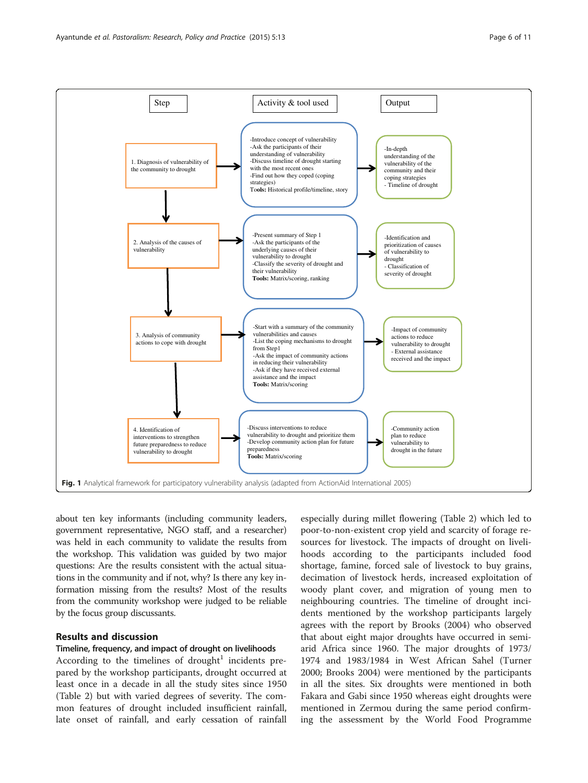<span id="page-5-0"></span>

about ten key informants (including community leaders, government representative, NGO staff, and a researcher) was held in each community to validate the results from the workshop. This validation was guided by two major questions: Are the results consistent with the actual situations in the community and if not, why? Is there any key information missing from the results? Most of the results from the community workshop were judged to be reliable by the focus group discussants.

## Results and discussion

#### Timeline, frequency, and impact of drought on livelihoods

According to the timelines of drought<sup>1</sup> incidents prepared by the workshop participants, drought occurred at least once in a decade in all the study sites since 1950 (Table [2\)](#page-6-0) but with varied degrees of severity. The common features of drought included insufficient rainfall, late onset of rainfall, and early cessation of rainfall

especially during millet flowering (Table [2\)](#page-6-0) which led to poor-to-non-existent crop yield and scarcity of forage resources for livestock. The impacts of drought on livelihoods according to the participants included food shortage, famine, forced sale of livestock to buy grains, decimation of livestock herds, increased exploitation of woody plant cover, and migration of young men to neighbouring countries. The timeline of drought incidents mentioned by the workshop participants largely agrees with the report by Brooks [\(2004\)](#page-10-0) who observed that about eight major droughts have occurred in semiarid Africa since 1960. The major droughts of 1973/ 1974 and 1983/1984 in West African Sahel (Turner [2000](#page-10-0); Brooks [2004](#page-10-0)) were mentioned by the participants in all the sites. Six droughts were mentioned in both Fakara and Gabi since 1950 whereas eight droughts were mentioned in Zermou during the same period confirming the assessment by the World Food Programme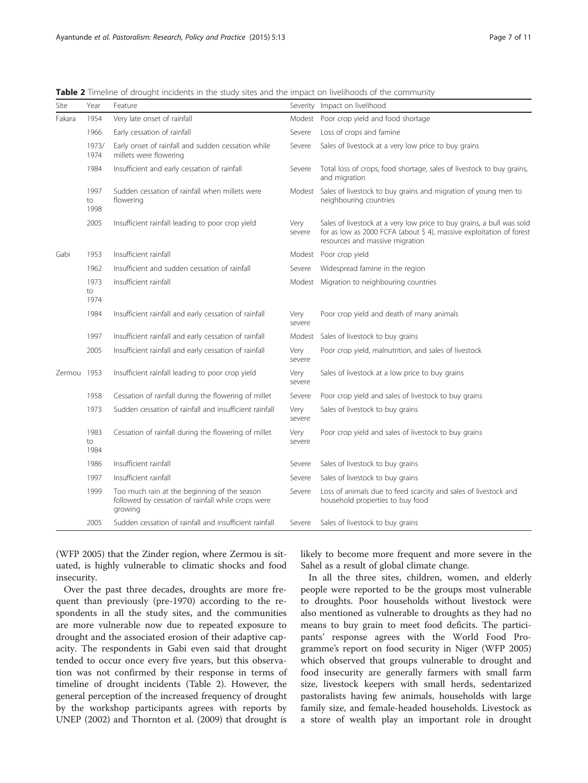| Site        | Year               | Feature                                                                                                       |                | Severity Impact on livelihood                                                                                                                                                    |
|-------------|--------------------|---------------------------------------------------------------------------------------------------------------|----------------|----------------------------------------------------------------------------------------------------------------------------------------------------------------------------------|
| Fakara      | 1954               | Very late onset of rainfall                                                                                   | Modest         | Poor crop yield and food shortage                                                                                                                                                |
|             | 1966               | Early cessation of rainfall                                                                                   | Severe         | Loss of crops and famine                                                                                                                                                         |
|             | 1973/<br>1974      | Early onset of rainfall and sudden cessation while<br>millets were flowering                                  | Severe         | Sales of livestock at a very low price to buy grains                                                                                                                             |
|             | 1984               | Insufficient and early cessation of rainfall                                                                  | Severe         | Total loss of crops, food shortage, sales of livestock to buy grains,<br>and migration                                                                                           |
|             | 1997<br>to<br>1998 | Sudden cessation of rainfall when millets were<br>flowering                                                   | Modest         | Sales of livestock to buy grains and migration of young men to<br>neighbouring countries                                                                                         |
|             | 2005               | Insufficient rainfall leading to poor crop yield                                                              | Very<br>severe | Sales of livestock at a very low price to buy grains, a bull was sold<br>for as low as 2000 FCFA (about \$ 4), massive exploitation of forest<br>resources and massive migration |
| Gabi        | 1953               | Insufficient rainfall                                                                                         |                | Modest Poor crop yield                                                                                                                                                           |
|             | 1962               | Insufficient and sudden cessation of rainfall                                                                 | Severe         | Widespread famine in the region                                                                                                                                                  |
|             | 1973               | Insufficient rainfall                                                                                         | Modest         | Migration to neighbouring countries                                                                                                                                              |
|             | to<br>1974         |                                                                                                               |                |                                                                                                                                                                                  |
|             | 1984               | Insufficient rainfall and early cessation of rainfall                                                         | Very<br>severe | Poor crop yield and death of many animals                                                                                                                                        |
|             | 1997               | Insufficient rainfall and early cessation of rainfall                                                         | Modest         | Sales of livestock to buy grains                                                                                                                                                 |
|             | 2005               | Insufficient rainfall and early cessation of rainfall                                                         | Very<br>severe | Poor crop yield, malnutrition, and sales of livestock                                                                                                                            |
| Zermou 1953 |                    | Insufficient rainfall leading to poor crop yield                                                              | Very<br>severe | Sales of livestock at a low price to buy grains                                                                                                                                  |
|             | 1958               | Cessation of rainfall during the flowering of millet                                                          | Severe         | Poor crop yield and sales of livestock to buy grains                                                                                                                             |
|             | 1973               | Sudden cessation of rainfall and insufficient rainfall                                                        | Very<br>severe | Sales of livestock to buy grains                                                                                                                                                 |
|             | 1983<br>to<br>1984 | Cessation of rainfall during the flowering of millet                                                          | Very<br>severe | Poor crop yield and sales of livestock to buy grains                                                                                                                             |
|             | 1986               | Insufficient rainfall                                                                                         | Severe         | Sales of livestock to buy grains                                                                                                                                                 |
|             | 1997               | Insufficient rainfall                                                                                         | Severe         | Sales of livestock to buy grains                                                                                                                                                 |
|             | 1999               | Too much rain at the beginning of the season<br>followed by cessation of rainfall while crops were<br>growing | Severe         | Loss of animals due to feed scarcity and sales of livestock and<br>household properties to buy food                                                                              |
|             | 2005               | Sudden cessation of rainfall and insufficient rainfall                                                        | Severe         | Sales of livestock to buy grains                                                                                                                                                 |

<span id="page-6-0"></span>**Table 2** Timeline of drought incidents in the study sites and the impact on livelihoods of the community

(WFP [2005\)](#page-10-0) that the Zinder region, where Zermou is situated, is highly vulnerable to climatic shocks and food insecurity.

Over the past three decades, droughts are more frequent than previously (pre-1970) according to the respondents in all the study sites, and the communities are more vulnerable now due to repeated exposure to drought and the associated erosion of their adaptive capacity. The respondents in Gabi even said that drought tended to occur once every five years, but this observation was not confirmed by their response in terms of timeline of drought incidents (Table 2). However, the general perception of the increased frequency of drought by the workshop participants agrees with reports by UNEP ([2002\)](#page-10-0) and Thornton et al. ([2009](#page-10-0)) that drought is

likely to become more frequent and more severe in the Sahel as a result of global climate change.

In all the three sites, children, women, and elderly people were reported to be the groups most vulnerable to droughts. Poor households without livestock were also mentioned as vulnerable to droughts as they had no means to buy grain to meet food deficits. The participants' response agrees with the World Food Programme's report on food security in Niger (WFP [2005](#page-10-0)) which observed that groups vulnerable to drought and food insecurity are generally farmers with small farm size, livestock keepers with small herds, sedentarized pastoralists having few animals, households with large family size, and female-headed households. Livestock as a store of wealth play an important role in drought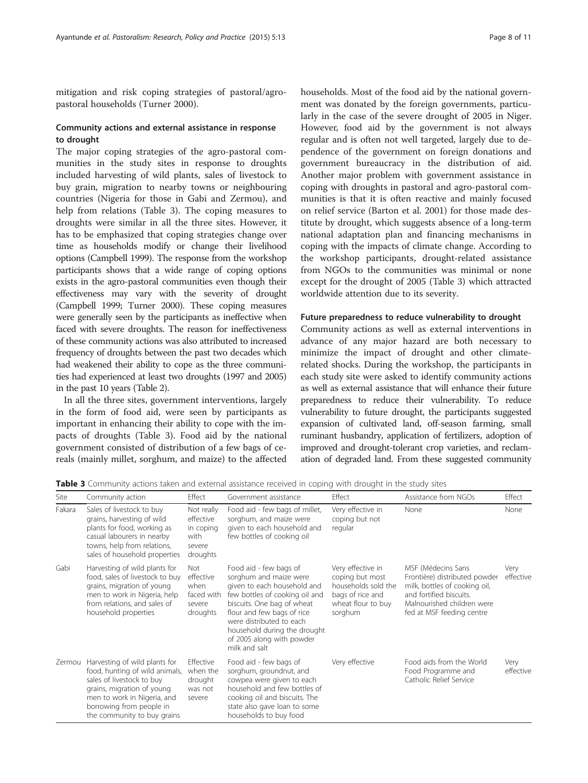mitigation and risk coping strategies of pastoral/agropastoral households (Turner [2000\)](#page-10-0).

#### Community actions and external assistance in response to drought

The major coping strategies of the agro-pastoral communities in the study sites in response to droughts included harvesting of wild plants, sales of livestock to buy grain, migration to nearby towns or neighbouring countries (Nigeria for those in Gabi and Zermou), and help from relations (Table 3). The coping measures to droughts were similar in all the three sites. However, it has to be emphasized that coping strategies change over time as households modify or change their livelihood options (Campbell [1999](#page-10-0)). The response from the workshop participants shows that a wide range of coping options exists in the agro-pastoral communities even though their effectiveness may vary with the severity of drought (Campbell [1999;](#page-10-0) Turner [2000](#page-10-0)). These coping measures were generally seen by the participants as ineffective when faced with severe droughts. The reason for ineffectiveness of these community actions was also attributed to increased frequency of droughts between the past two decades which had weakened their ability to cope as the three communities had experienced at least two droughts (1997 and 2005) in the past 10 years (Table [2](#page-6-0)).

In all the three sites, government interventions, largely in the form of food aid, were seen by participants as important in enhancing their ability to cope with the impacts of droughts (Table 3). Food aid by the national government consisted of distribution of a few bags of cereals (mainly millet, sorghum, and maize) to the affected households. Most of the food aid by the national government was donated by the foreign governments, particularly in the case of the severe drought of 2005 in Niger. However, food aid by the government is not always regular and is often not well targeted, largely due to dependence of the government on foreign donations and government bureaucracy in the distribution of aid. Another major problem with government assistance in coping with droughts in pastoral and agro-pastoral communities is that it is often reactive and mainly focused on relief service (Barton et al. [2001\)](#page-9-0) for those made destitute by drought, which suggests absence of a long-term national adaptation plan and financing mechanisms in coping with the impacts of climate change. According to the workshop participants, drought-related assistance from NGOs to the communities was minimal or none except for the drought of 2005 (Table 3) which attracted worldwide attention due to its severity.

#### Future preparedness to reduce vulnerability to drought

Community actions as well as external interventions in advance of any major hazard are both necessary to minimize the impact of drought and other climaterelated shocks. During the workshop, the participants in each study site were asked to identify community actions as well as external assistance that will enhance their future preparedness to reduce their vulnerability. To reduce vulnerability to future drought, the participants suggested expansion of cultivated land, off-season farming, small ruminant husbandry, application of fertilizers, adoption of improved and drought-tolerant crop varieties, and reclamation of degraded land. From these suggested community

| Site   | Community action                                                                                                                                                                                                     | <b>Effect</b>                                                      | Government assistance                                                                                                                                                                                                                                                                   | Effect                                                                                                           | Assistance from NGOs                                                                                                                                                       | Effect            |
|--------|----------------------------------------------------------------------------------------------------------------------------------------------------------------------------------------------------------------------|--------------------------------------------------------------------|-----------------------------------------------------------------------------------------------------------------------------------------------------------------------------------------------------------------------------------------------------------------------------------------|------------------------------------------------------------------------------------------------------------------|----------------------------------------------------------------------------------------------------------------------------------------------------------------------------|-------------------|
| Fakara | Sales of livestock to buy<br>grains, harvesting of wild<br>plants for food, working as<br>casual labourers in nearby<br>towns, help from relations,<br>sales of household properties                                 | Not really<br>effective<br>in coping<br>with<br>severe<br>droughts | Food aid - few bags of millet,<br>sorghum, and maize were<br>given to each household and<br>few bottles of cooking oil                                                                                                                                                                  | Very effective in<br>coping but not<br>regular                                                                   | None                                                                                                                                                                       | None              |
| Gabi   | Harvesting of wild plants for<br>food, sales of livestock to buy<br>grains, migration of young<br>men to work in Nigeria, help<br>from relations, and sales of<br>household properties                               | Not<br>effective<br>when<br>faced with<br>severe<br>droughts       | Food aid - few bags of<br>sorghum and maize were<br>given to each household and<br>few bottles of cooking oil and<br>biscuits. One bag of wheat<br>flour and few bags of rice<br>were distributed to each<br>household during the drought<br>of 2005 along with powder<br>milk and salt | Very effective in<br>coping but most<br>households sold the<br>bags of rice and<br>wheat flour to buy<br>sorghum | MSF (Médecins Sans<br>Frontière) distributed powder<br>milk, bottles of cooking oil,<br>and fortified biscuits.<br>Malnourished children were<br>fed at MSF feeding centre | Very<br>effective |
| Zermou | Harvesting of wild plants for<br>food, hunting of wild animals,<br>sales of livestock to buy<br>grains, migration of young<br>men to work in Nigeria, and<br>borrowing from people in<br>the community to buy grains | Effective<br>when the<br>drought<br>was not<br>severe              | Food aid - few bags of<br>sorghum, groundnut, and<br>cowpea were given to each<br>household and few bottles of<br>cooking oil and biscuits. The<br>state also gave loan to some<br>households to buy food                                                                               | Very effective                                                                                                   | Food aids from the World<br>Food Programme and<br>Catholic Relief Service                                                                                                  | Very<br>effective |

Table 3 Community actions taken and external assistance received in coping with drought in the study sites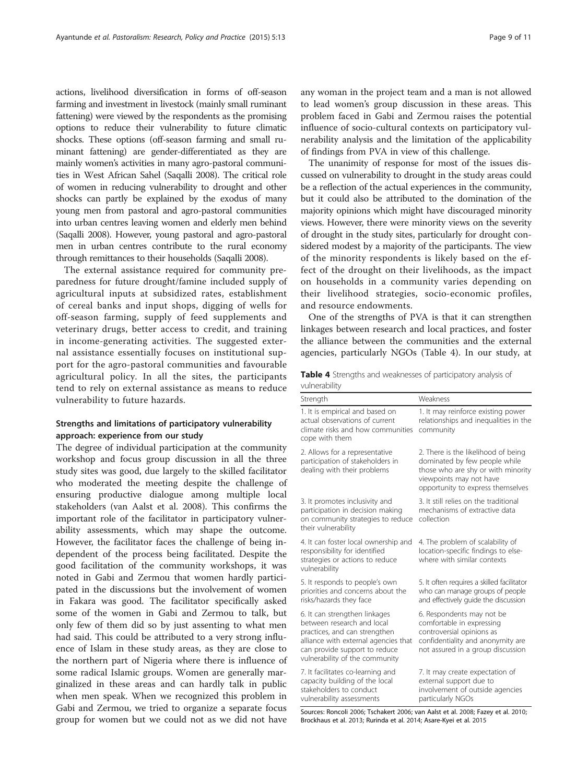<span id="page-8-0"></span>actions, livelihood diversification in forms of off-season farming and investment in livestock (mainly small ruminant fattening) were viewed by the respondents as the promising options to reduce their vulnerability to future climatic shocks. These options (off-season farming and small ruminant fattening) are gender-differentiated as they are mainly women's activities in many agro-pastoral communities in West African Sahel (Saqalli [2008](#page-10-0)). The critical role of women in reducing vulnerability to drought and other shocks can partly be explained by the exodus of many young men from pastoral and agro-pastoral communities into urban centres leaving women and elderly men behind (Saqalli [2008\)](#page-10-0). However, young pastoral and agro-pastoral men in urban centres contribute to the rural economy through remittances to their households (Saqalli [2008\)](#page-10-0).

The external assistance required for community preparedness for future drought/famine included supply of agricultural inputs at subsidized rates, establishment of cereal banks and input shops, digging of wells for off-season farming, supply of feed supplements and veterinary drugs, better access to credit, and training in income-generating activities. The suggested external assistance essentially focuses on institutional support for the agro-pastoral communities and favourable agricultural policy. In all the sites, the participants tend to rely on external assistance as means to reduce vulnerability to future hazards.

## Strengths and limitations of participatory vulnerability approach: experience from our study

The degree of individual participation at the community workshop and focus group discussion in all the three study sites was good, due largely to the skilled facilitator who moderated the meeting despite the challenge of ensuring productive dialogue among multiple local stakeholders (van Aalst et al. [2008\)](#page-10-0). This confirms the important role of the facilitator in participatory vulnerability assessments, which may shape the outcome. However, the facilitator faces the challenge of being independent of the process being facilitated. Despite the good facilitation of the community workshops, it was noted in Gabi and Zermou that women hardly participated in the discussions but the involvement of women in Fakara was good. The facilitator specifically asked some of the women in Gabi and Zermou to talk, but only few of them did so by just assenting to what men had said. This could be attributed to a very strong influence of Islam in these study areas, as they are close to the northern part of Nigeria where there is influence of some radical Islamic groups. Women are generally marginalized in these areas and can hardly talk in public when men speak. When we recognized this problem in Gabi and Zermou, we tried to organize a separate focus group for women but we could not as we did not have

any woman in the project team and a man is not allowed to lead women's group discussion in these areas. This problem faced in Gabi and Zermou raises the potential influence of socio-cultural contexts on participatory vulnerability analysis and the limitation of the applicability of findings from PVA in view of this challenge.

The unanimity of response for most of the issues discussed on vulnerability to drought in the study areas could be a reflection of the actual experiences in the community, but it could also be attributed to the domination of the majority opinions which might have discouraged minority views. However, there were minority views on the severity of drought in the study sites, particularly for drought considered modest by a majority of the participants. The view of the minority respondents is likely based on the effect of the drought on their livelihoods, as the impact on households in a community varies depending on their livelihood strategies, socio-economic profiles, and resource endowments.

One of the strengths of PVA is that it can strengthen linkages between research and local practices, and foster the alliance between the communities and the external agencies, particularly NGOs (Table 4). In our study, at

|               |  |  | <b>Table 4</b> Strengths and weaknesses of participatory analysis of |  |
|---------------|--|--|----------------------------------------------------------------------|--|
| vulnerability |  |  |                                                                      |  |

| Strength                                                                                                                                                                                                | Weakness                                                                                                                                                                   |
|---------------------------------------------------------------------------------------------------------------------------------------------------------------------------------------------------------|----------------------------------------------------------------------------------------------------------------------------------------------------------------------------|
| 1. It is empirical and based on<br>actual observations of current<br>climate risks and how communities<br>cope with them                                                                                | 1. It may reinforce existing power<br>relationships and inequalities in the<br>community                                                                                   |
| 2. Allows for a representative<br>participation of stakeholders in<br>dealing with their problems                                                                                                       | 2. There is the likelihood of being<br>dominated by few people while<br>those who are shy or with minority<br>viewpoints may not have<br>opportunity to express themselves |
| 3. It promotes inclusivity and<br>participation in decision making<br>on community strategies to reduce<br>their vulnerability                                                                          | 3. It still relies on the traditional<br>mechanisms of extractive data<br>collection                                                                                       |
| 4. It can foster local ownership and<br>responsibility for identified<br>strategies or actions to reduce<br>vulnerability                                                                               | 4. The problem of scalability of<br>location-specific findings to else-<br>where with similar contexts                                                                     |
| 5. It responds to people's own<br>priorities and concerns about the<br>risks/hazards they face                                                                                                          | 5. It often requires a skilled facilitator<br>who can manage groups of people<br>and effectively quide the discussion                                                      |
| 6. It can strengthen linkages<br>between research and local<br>practices, and can strengthen<br>alliance with external agencies that<br>can provide support to reduce<br>vulnerability of the community | 6. Respondents may not be<br>comfortable in expressing<br>controversial opinions as<br>confidentiality and anonymity are<br>not assured in a group discussion              |
| 7. It facilitates co-learning and<br>capacity building of the local<br>stakeholders to conduct<br>vulnerability assessments                                                                             | 7. It may create expectation of<br>external support due to<br>involvement of outside agencies<br>particularly NGOs                                                         |

Sources: Roncoli [2006;](#page-10-0) Tschakert [2006;](#page-10-0) van Aalst et al. [2008;](#page-10-0) Fazey et al. [2010;](#page-10-0) Brockhaus et al. [2013;](#page-10-0) Rurinda et al. [2014](#page-10-0); Asare-Kyei et al. [2015](#page-9-0)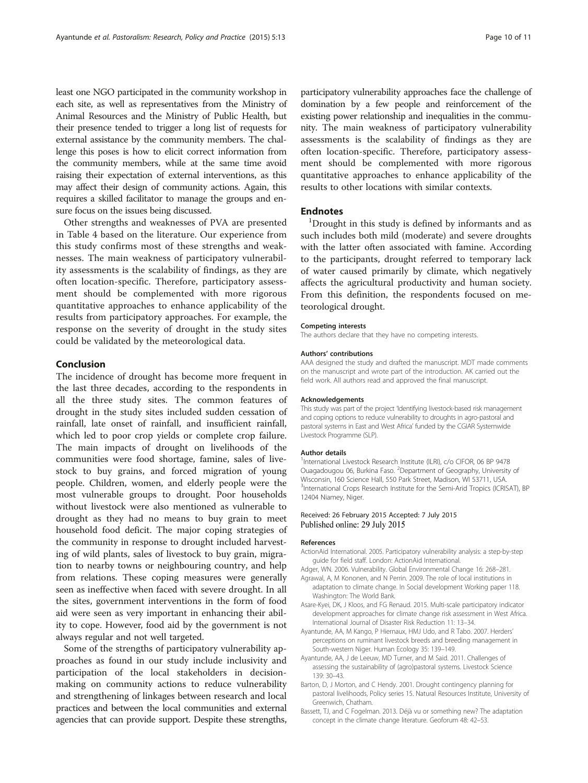<span id="page-9-0"></span>least one NGO participated in the community workshop in each site, as well as representatives from the Ministry of Animal Resources and the Ministry of Public Health, but their presence tended to trigger a long list of requests for external assistance by the community members. The challenge this poses is how to elicit correct information from the community members, while at the same time avoid raising their expectation of external interventions, as this may affect their design of community actions. Again, this requires a skilled facilitator to manage the groups and ensure focus on the issues being discussed.

Other strengths and weaknesses of PVA are presented in Table [4](#page-8-0) based on the literature. Our experience from this study confirms most of these strengths and weaknesses. The main weakness of participatory vulnerability assessments is the scalability of findings, as they are often location-specific. Therefore, participatory assessment should be complemented with more rigorous quantitative approaches to enhance applicability of the results from participatory approaches. For example, the response on the severity of drought in the study sites could be validated by the meteorological data.

#### Conclusion

The incidence of drought has become more frequent in the last three decades, according to the respondents in all the three study sites. The common features of drought in the study sites included sudden cessation of rainfall, late onset of rainfall, and insufficient rainfall, which led to poor crop yields or complete crop failure. The main impacts of drought on livelihoods of the communities were food shortage, famine, sales of livestock to buy grains, and forced migration of young people. Children, women, and elderly people were the most vulnerable groups to drought. Poor households without livestock were also mentioned as vulnerable to drought as they had no means to buy grain to meet household food deficit. The major coping strategies of the community in response to drought included harvesting of wild plants, sales of livestock to buy grain, migration to nearby towns or neighbouring country, and help from relations. These coping measures were generally seen as ineffective when faced with severe drought. In all the sites, government interventions in the form of food aid were seen as very important in enhancing their ability to cope. However, food aid by the government is not always regular and not well targeted.

Some of the strengths of participatory vulnerability approaches as found in our study include inclusivity and participation of the local stakeholders in decisionmaking on community actions to reduce vulnerability and strengthening of linkages between research and local practices and between the local communities and external agencies that can provide support. Despite these strengths, participatory vulnerability approaches face the challenge of domination by a few people and reinforcement of the existing power relationship and inequalities in the community. The main weakness of participatory vulnerability assessments is the scalability of findings as they are often location-specific. Therefore, participatory assessment should be complemented with more rigorous quantitative approaches to enhance applicability of the results to other locations with similar contexts.

#### **Endnotes**

<sup>1</sup>Drought in this study is defined by informants and as such includes both mild (moderate) and severe droughts with the latter often associated with famine. According to the participants, drought referred to temporary lack of water caused primarily by climate, which negatively affects the agricultural productivity and human society. From this definition, the respondents focused on meteorological drought.

#### Competing interests

The authors declare that they have no competing interests.

#### Authors' contributions

AAA designed the study and drafted the manuscript. MDT made comments on the manuscript and wrote part of the introduction. AK carried out the field work. All authors read and approved the final manuscript.

#### Acknowledgements

This study was part of the project 'Identifying livestock-based risk management and coping options to reduce vulnerability to droughts in agro-pastoral and pastoral systems in East and West Africa' funded by the CGIAR Systemwide Livestock Programme (SLP).

#### Author details

<sup>1</sup>International Livestock Research Institute (ILRI), c/o CIFOR, 06 BP 9478 Ouagadougou 06, Burkina Faso. <sup>2</sup> Department of Geography, University of Wisconsin, 160 Science Hall, 550 Park Street, Madison, WI 53711, USA. <sup>3</sup>International Crops Research Institute for the Semi-Arid Tropics (ICRISAT), BP 12404 Niamey, Niger.

#### Received: 26 February 2015 Accepted: 7 July 2015 Published online: 29 July 2015

#### References

- ActionAid International. 2005. Participatory vulnerability analysis: a step-by-step guide for field staff. London: ActionAid International.
- Adger, WN. 2006. Vulnerability. Global Environmental Change 16: 268–281.
- Agrawal, A, M Kononen, and N Perrin. 2009. The role of local institutions in adaptation to climate change. In Social development Working paper 118. Washington: The World Bank.
- Asare-Kyei, DK, J Kloos, and FG Renaud. 2015. Multi-scale participatory indicator development approaches for climate change risk assessment in West Africa. International Journal of Disaster Risk Reduction 11: 13–34.
- Ayantunde, AA, M Kango, P Hiernaux, HMJ Udo, and R Tabo. 2007. Herders' perceptions on ruminant livestock breeds and breeding management in South-western Niger. Human Ecology 35: 139–149.
- Ayantunde, AA, J de Leeuw, MD Turner, and M Said. 2011. Challenges of assessing the sustainability of (agro)pastoral systems. Livestock Science 139: 30–43.
- Barton, D, J Morton, and C Hendy. 2001. Drought contingency planning for pastoral livelihoods, Policy series 15. Natural Resources Institute, University of Greenwich, Chatham.
- Bassett, TJ, and C Fogelman. 2013. Déjà vu or something new? The adaptation concept in the climate change literature. Geoforum 48: 42–53.